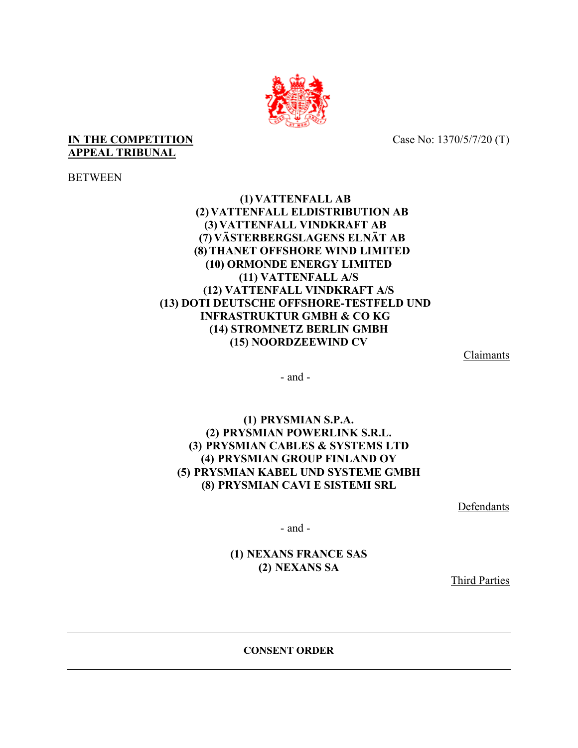

## **IN THE COMPETITION** Case No: 1370/5/7/20 (T) **APPEAL TRIBUNAL**

**BETWEEN** 

**(1) VATTENFALL AB (2) VATTENFALL ELDISTRIBUTION AB (3) VATTENFALL VINDKRAFT AB (7) VÄSTERBERGSLAGENS ELNÄT AB (8)THANET OFFSHORE WIND LIMITED (10) ORMONDE ENERGY LIMITED (11) VATTENFALL A/S (12) VATTENFALL VINDKRAFT A/S (13) DOTI DEUTSCHE OFFSHORE-TESTFELD UND INFRASTRUKTUR GMBH & CO KG (14) STROMNETZ BERLIN GMBH (15) NOORDZEEWIND CV**

Claimants

- and -

**(1) PRYSMIAN S.P.A. (2) PRYSMIAN POWERLINK S.R.L. (3) PRYSMIAN CABLES & SYSTEMS LTD (4) PRYSMIAN GROUP FINLAND OY (5) PRYSMIAN KABEL UND SYSTEME GMBH (8) PRYSMIAN CAVI E SISTEMI SRL**

Defendants

- and -

**(1) NEXANS FRANCE SAS (2) NEXANS SA**

Third Parties

**CONSENT ORDER**